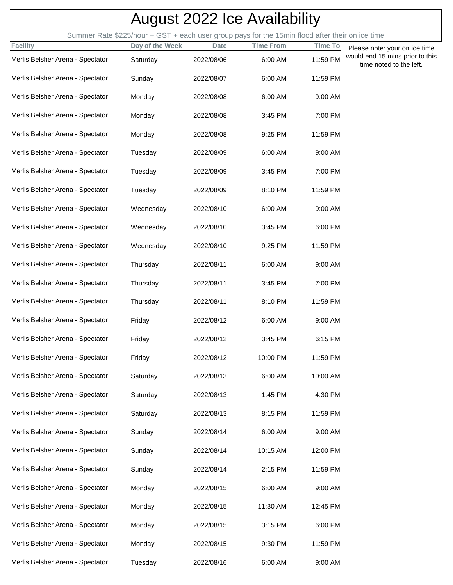| <b>August 2022 Ice Availability</b> |                                                                                                 |             |                  |                |                                                                  |
|-------------------------------------|-------------------------------------------------------------------------------------------------|-------------|------------------|----------------|------------------------------------------------------------------|
|                                     | Summer Rate \$225/hour + GST + each user group pays for the 15min flood after their on ice time |             |                  |                |                                                                  |
| <b>Facility</b>                     | Day of the Week                                                                                 | <b>Date</b> | <b>Time From</b> | <b>Time To</b> | Please note: your on ice time<br>would end 15 mins prior to this |
| Merlis Belsher Arena - Spectator    | Saturday                                                                                        | 2022/08/06  | 6:00 AM          | 11:59 PM       | time noted to the left.                                          |
| Merlis Belsher Arena - Spectator    | Sunday                                                                                          | 2022/08/07  | 6:00 AM          | 11:59 PM       |                                                                  |
| Merlis Belsher Arena - Spectator    | Monday                                                                                          | 2022/08/08  | 6:00 AM          | 9:00 AM        |                                                                  |
| Merlis Belsher Arena - Spectator    | Monday                                                                                          | 2022/08/08  | 3:45 PM          | 7:00 PM        |                                                                  |
| Merlis Belsher Arena - Spectator    | Monday                                                                                          | 2022/08/08  | 9:25 PM          | 11:59 PM       |                                                                  |
| Merlis Belsher Arena - Spectator    | Tuesday                                                                                         | 2022/08/09  | 6:00 AM          | 9:00 AM        |                                                                  |
| Merlis Belsher Arena - Spectator    | Tuesday                                                                                         | 2022/08/09  | 3:45 PM          | 7:00 PM        |                                                                  |
| Merlis Belsher Arena - Spectator    | Tuesday                                                                                         | 2022/08/09  | 8:10 PM          | 11:59 PM       |                                                                  |
| Merlis Belsher Arena - Spectator    | Wednesday                                                                                       | 2022/08/10  | 6:00 AM          | 9:00 AM        |                                                                  |
| Merlis Belsher Arena - Spectator    | Wednesday                                                                                       | 2022/08/10  | 3:45 PM          | 6:00 PM        |                                                                  |
| Merlis Belsher Arena - Spectator    | Wednesday                                                                                       | 2022/08/10  | 9:25 PM          | 11:59 PM       |                                                                  |
| Merlis Belsher Arena - Spectator    | Thursday                                                                                        | 2022/08/11  | 6:00 AM          | 9:00 AM        |                                                                  |
| Merlis Belsher Arena - Spectator    | Thursday                                                                                        | 2022/08/11  | 3:45 PM          | 7:00 PM        |                                                                  |
| Merlis Belsher Arena - Spectator    | Thursday                                                                                        | 2022/08/11  | 8:10 PM          | 11:59 PM       |                                                                  |
| Merlis Belsher Arena - Spectator    | Friday                                                                                          | 2022/08/12  | 6:00 AM          | 9:00 AM        |                                                                  |
| Merlis Belsher Arena - Spectator    | Friday                                                                                          | 2022/08/12  | 3:45 PM          | 6:15 PM        |                                                                  |
| Merlis Belsher Arena - Spectator    | Friday                                                                                          | 2022/08/12  | 10:00 PM         | 11:59 PM       |                                                                  |
| Merlis Belsher Arena - Spectator    | Saturday                                                                                        | 2022/08/13  | 6:00 AM          | 10:00 AM       |                                                                  |
| Merlis Belsher Arena - Spectator    | Saturday                                                                                        | 2022/08/13  | 1:45 PM          | 4:30 PM        |                                                                  |
| Merlis Belsher Arena - Spectator    | Saturday                                                                                        | 2022/08/13  | 8:15 PM          | 11:59 PM       |                                                                  |
| Merlis Belsher Arena - Spectator    | Sunday                                                                                          | 2022/08/14  | 6:00 AM          | 9:00 AM        |                                                                  |
| Merlis Belsher Arena - Spectator    | Sunday                                                                                          | 2022/08/14  | 10:15 AM         | 12:00 PM       |                                                                  |
| Merlis Belsher Arena - Spectator    | Sunday                                                                                          | 2022/08/14  | 2:15 PM          | 11:59 PM       |                                                                  |
| Merlis Belsher Arena - Spectator    | Monday                                                                                          | 2022/08/15  | 6:00 AM          | 9:00 AM        |                                                                  |
| Merlis Belsher Arena - Spectator    | Monday                                                                                          | 2022/08/15  | 11:30 AM         | 12:45 PM       |                                                                  |
| Merlis Belsher Arena - Spectator    | Monday                                                                                          | 2022/08/15  | 3:15 PM          | 6:00 PM        |                                                                  |
| Merlis Belsher Arena - Spectator    | Monday                                                                                          | 2022/08/15  | 9:30 PM          | 11:59 PM       |                                                                  |
| Merlis Belsher Arena - Spectator    | Tuesday                                                                                         | 2022/08/16  | 6:00 AM          | 9:00 AM        |                                                                  |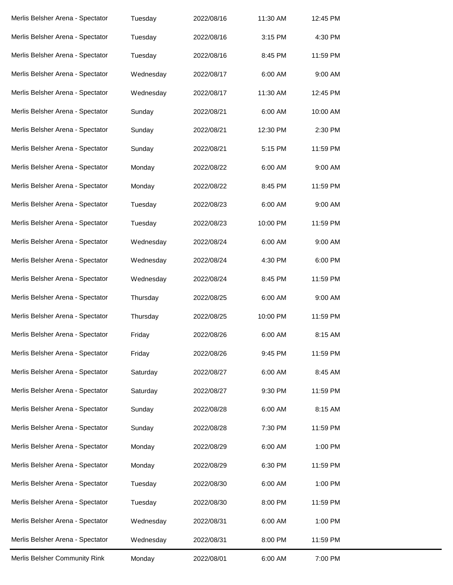| Merlis Belsher Community Rink    | Monday    | 2022/08/01 | 6:00 AM  | 7:00 PM  |
|----------------------------------|-----------|------------|----------|----------|
| Merlis Belsher Arena - Spectator | Wednesday | 2022/08/31 | 8:00 PM  | 11:59 PM |
| Merlis Belsher Arena - Spectator | Wednesday | 2022/08/31 | 6:00 AM  | 1:00 PM  |
| Merlis Belsher Arena - Spectator | Tuesday   | 2022/08/30 | 8:00 PM  | 11:59 PM |
| Merlis Belsher Arena - Spectator | Tuesday   | 2022/08/30 | 6:00 AM  | 1:00 PM  |
| Merlis Belsher Arena - Spectator | Monday    | 2022/08/29 | 6:30 PM  | 11:59 PM |
| Merlis Belsher Arena - Spectator | Monday    | 2022/08/29 | 6:00 AM  | 1:00 PM  |
| Merlis Belsher Arena - Spectator | Sunday    | 2022/08/28 | 7:30 PM  | 11:59 PM |
| Merlis Belsher Arena - Spectator | Sunday    | 2022/08/28 | 6:00 AM  | 8:15 AM  |
| Merlis Belsher Arena - Spectator | Saturday  | 2022/08/27 | 9:30 PM  | 11:59 PM |
| Merlis Belsher Arena - Spectator | Saturday  | 2022/08/27 | 6:00 AM  | 8:45 AM  |
| Merlis Belsher Arena - Spectator | Friday    | 2022/08/26 | 9:45 PM  | 11:59 PM |
| Merlis Belsher Arena - Spectator | Friday    | 2022/08/26 | 6:00 AM  | 8:15 AM  |
| Merlis Belsher Arena - Spectator | Thursday  | 2022/08/25 | 10:00 PM | 11:59 PM |
| Merlis Belsher Arena - Spectator | Thursday  | 2022/08/25 | 6:00 AM  | 9:00 AM  |
| Merlis Belsher Arena - Spectator | Wednesday | 2022/08/24 | 8:45 PM  | 11:59 PM |
| Merlis Belsher Arena - Spectator | Wednesday | 2022/08/24 | 4:30 PM  | 6:00 PM  |
| Merlis Belsher Arena - Spectator | Wednesday | 2022/08/24 | 6:00 AM  | 9:00 AM  |
| Merlis Belsher Arena - Spectator | Tuesday   | 2022/08/23 | 10:00 PM | 11:59 PM |
| Merlis Belsher Arena - Spectator | Tuesday   | 2022/08/23 | 6:00 AM  | 9:00 AM  |
| Merlis Belsher Arena - Spectator | Monday    | 2022/08/22 | 8:45 PM  | 11:59 PM |
| Merlis Belsher Arena - Spectator | Monday    | 2022/08/22 | 6:00 AM  | 9:00 AM  |
| Merlis Belsher Arena - Spectator | Sunday    | 2022/08/21 | 5:15 PM  | 11:59 PM |
| Merlis Belsher Arena - Spectator | Sunday    | 2022/08/21 | 12:30 PM | 2:30 PM  |
| Merlis Belsher Arena - Spectator | Sunday    | 2022/08/21 | 6:00 AM  | 10:00 AM |
| Merlis Belsher Arena - Spectator | Wednesday | 2022/08/17 | 11:30 AM | 12:45 PM |
| Merlis Belsher Arena - Spectator | Wednesday | 2022/08/17 | 6:00 AM  | 9:00 AM  |
| Merlis Belsher Arena - Spectator | Tuesday   | 2022/08/16 | 8:45 PM  | 11:59 PM |
| Merlis Belsher Arena - Spectator | Tuesday   | 2022/08/16 | 3:15 PM  | 4:30 PM  |
| Merlis Belsher Arena - Spectator | Tuesday   | 2022/08/16 | 11:30 AM | 12:45 PM |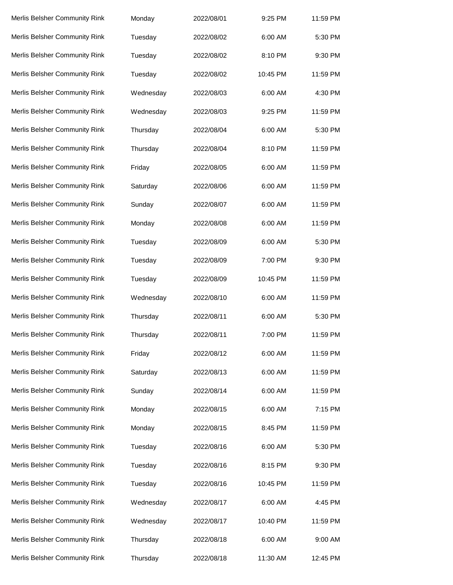| Merlis Belsher Community Rink | Monday    | 2022/08/01 | 9:25 PM  | 11:59 PM |
|-------------------------------|-----------|------------|----------|----------|
| Merlis Belsher Community Rink | Tuesday   | 2022/08/02 | 6:00 AM  | 5:30 PM  |
| Merlis Belsher Community Rink | Tuesday   | 2022/08/02 | 8:10 PM  | 9:30 PM  |
| Merlis Belsher Community Rink | Tuesday   | 2022/08/02 | 10:45 PM | 11:59 PM |
| Merlis Belsher Community Rink | Wednesday | 2022/08/03 | 6:00 AM  | 4:30 PM  |
| Merlis Belsher Community Rink | Wednesday | 2022/08/03 | 9:25 PM  | 11:59 PM |
| Merlis Belsher Community Rink | Thursday  | 2022/08/04 | 6:00 AM  | 5:30 PM  |
| Merlis Belsher Community Rink | Thursday  | 2022/08/04 | 8:10 PM  | 11:59 PM |
| Merlis Belsher Community Rink | Friday    | 2022/08/05 | 6:00 AM  | 11:59 PM |
| Merlis Belsher Community Rink | Saturday  | 2022/08/06 | 6:00 AM  | 11:59 PM |
| Merlis Belsher Community Rink | Sunday    | 2022/08/07 | 6:00 AM  | 11:59 PM |
| Merlis Belsher Community Rink | Monday    | 2022/08/08 | 6:00 AM  | 11:59 PM |
| Merlis Belsher Community Rink | Tuesday   | 2022/08/09 | 6:00 AM  | 5:30 PM  |
| Merlis Belsher Community Rink | Tuesday   | 2022/08/09 | 7:00 PM  | 9:30 PM  |
| Merlis Belsher Community Rink | Tuesday   | 2022/08/09 | 10:45 PM | 11:59 PM |
| Merlis Belsher Community Rink | Wednesday | 2022/08/10 | 6:00 AM  | 11:59 PM |
| Merlis Belsher Community Rink | Thursday  | 2022/08/11 | 6:00 AM  | 5:30 PM  |
| Merlis Belsher Community Rink | Thursday  | 2022/08/11 | 7:00 PM  | 11:59 PM |
| Merlis Belsher Community Rink | Friday    | 2022/08/12 | 6:00 AM  | 11:59 PM |
| Merlis Belsher Community Rink | Saturday  | 2022/08/13 | 6:00 AM  | 11:59 PM |
| Merlis Belsher Community Rink | Sunday    | 2022/08/14 | 6:00 AM  | 11:59 PM |
| Merlis Belsher Community Rink | Monday    | 2022/08/15 | 6:00 AM  | 7:15 PM  |
| Merlis Belsher Community Rink | Monday    | 2022/08/15 | 8:45 PM  | 11:59 PM |
| Merlis Belsher Community Rink | Tuesday   | 2022/08/16 | 6:00 AM  | 5:30 PM  |
| Merlis Belsher Community Rink | Tuesday   | 2022/08/16 | 8:15 PM  | 9:30 PM  |
| Merlis Belsher Community Rink | Tuesday   | 2022/08/16 | 10:45 PM | 11:59 PM |
| Merlis Belsher Community Rink | Wednesday | 2022/08/17 | 6:00 AM  | 4:45 PM  |
| Merlis Belsher Community Rink | Wednesday | 2022/08/17 | 10:40 PM | 11:59 PM |
| Merlis Belsher Community Rink | Thursday  | 2022/08/18 | 6:00 AM  | 9:00 AM  |
| Merlis Belsher Community Rink | Thursday  | 2022/08/18 | 11:30 AM | 12:45 PM |